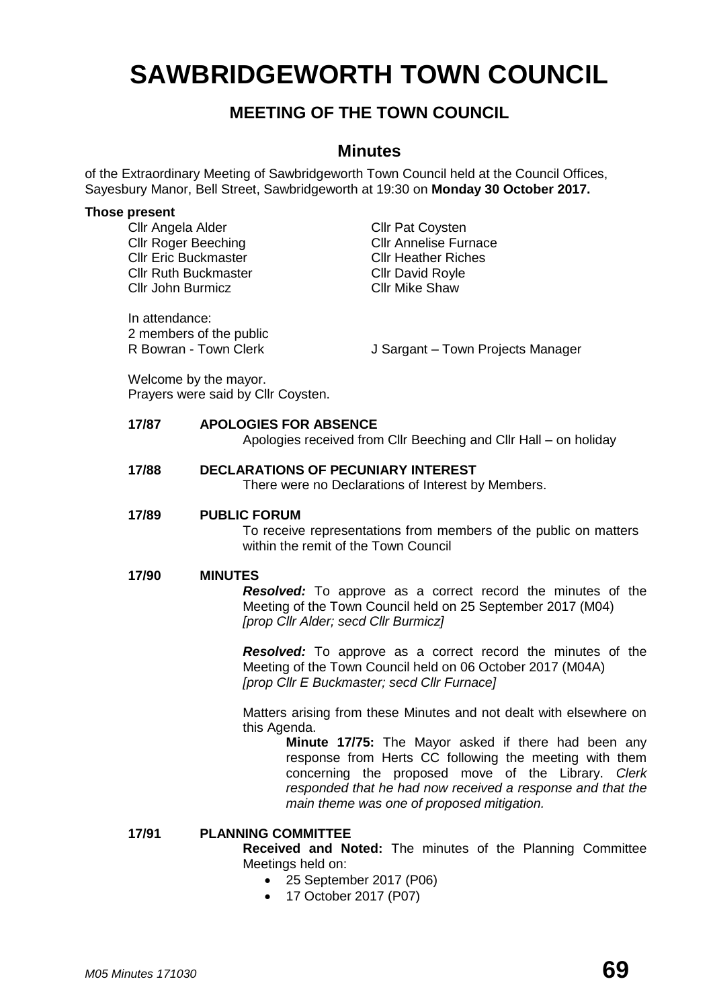# **SAWBRIDGEWORTH TOWN COUNCIL**

# **MEETING OF THE TOWN COUNCIL**

### **Minutes**

of the Extraordinary Meeting of Sawbridgeworth Town Council held at the Council Offices, Sayesbury Manor, Bell Street, Sawbridgeworth at 19:30 on **Monday 30 October 2017.**

### **Those present**

Cllr Angela Alder Cllr Pat Coysten **Cllr Roger Beeching Cllr Annelise Furnace** Cllr Eric Buckmaster Cllr Heather Riches Cllr Ruth Buckmaster<br>Cllr John Burmicz<br>Cllr Mike Shaw Cllr John Burmicz

In attendance: 2 members of the public<br>R Bowran - Town Clerk

J Sargant – Town Projects Manager

Welcome by the mayor. Prayers were said by Cllr Coysten.

### **17/87 APOLOGIES FOR ABSENCE**

Apologies received from Cllr Beeching and Cllr Hall – on holiday

# **17/88 DECLARATIONS OF PECUNIARY INTEREST**

There were no Declarations of Interest by Members.

### **17/89 PUBLIC FORUM**

To receive representations from members of the public on matters within the remit of the Town Council

### **17/90 MINUTES**

*Resolved:* To approve as a correct record the minutes of the Meeting of the Town Council held on 25 September 2017 (M04) *[prop Cllr Alder; secd Cllr Burmicz]*

*Resolved:* To approve as a correct record the minutes of the Meeting of the Town Council held on 06 October 2017 (M04A) *[prop Cllr E Buckmaster; secd Cllr Furnace]*

Matters arising from these Minutes and not dealt with elsewhere on this Agenda.

> **Minute 17/75:** The Mayor asked if there had been any response from Herts CC following the meeting with them concerning the proposed move of the Library. *Clerk responded that he had now received a response and that the main theme was one of proposed mitigation.*

### **17/91 PLANNING COMMITTEE**

**Received and Noted:** The minutes of the Planning Committee Meetings held on:

- 25 September 2017 (P06)
- 17 October 2017 (P07)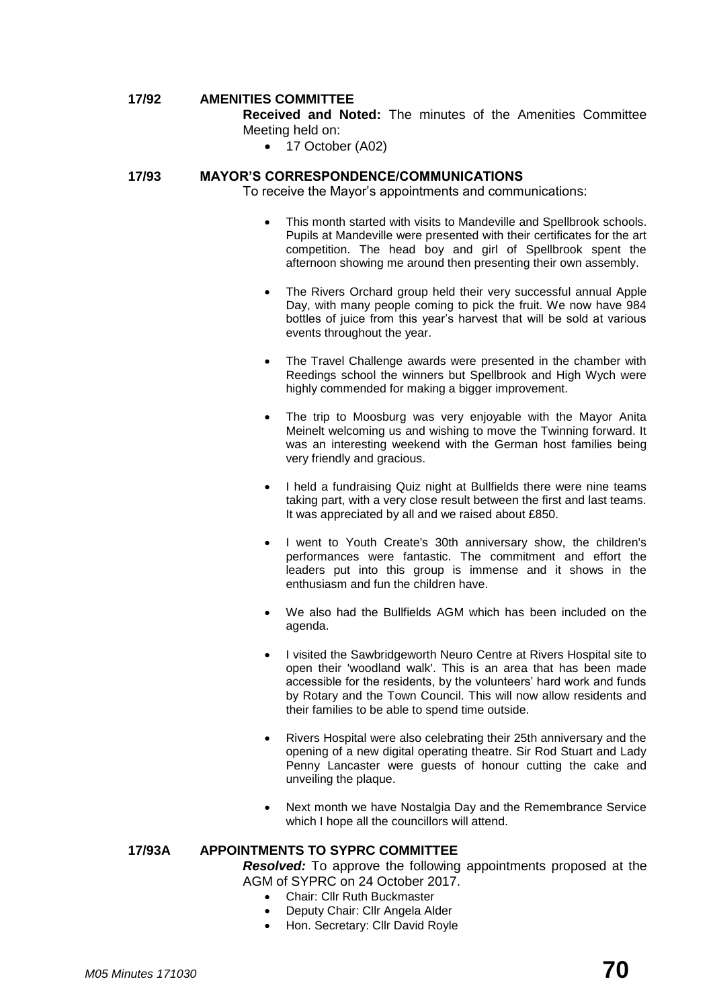### **17/92 AMENITIES COMMITTEE**

**Received and Noted:** The minutes of the Amenities Committee Meeting held on:

• 17 October (A02)

### **17/93 MAYOR'S CORRESPONDENCE/COMMUNICATIONS**

To receive the Mayor's appointments and communications:

- This month started with visits to Mandeville and Spellbrook schools. Pupils at Mandeville were presented with their certificates for the art competition. The head boy and girl of Spellbrook spent the afternoon showing me around then presenting their own assembly.
- The Rivers Orchard group held their very successful annual Apple Day, with many people coming to pick the fruit. We now have 984 bottles of juice from this year's harvest that will be sold at various events throughout the year.
- The Travel Challenge awards were presented in the chamber with Reedings school the winners but Spellbrook and High Wych were highly commended for making a bigger improvement.
- The trip to Moosburg was very enjoyable with the Mayor Anita Meinelt welcoming us and wishing to move the Twinning forward. It was an interesting weekend with the German host families being very friendly and gracious.
- I held a fundraising Quiz night at Bullfields there were nine teams taking part, with a very close result between the first and last teams. It was appreciated by all and we raised about £850.
- I went to Youth Create's 30th anniversary show, the children's performances were fantastic. The commitment and effort the leaders put into this group is immense and it shows in the enthusiasm and fun the children have.
- We also had the Bullfields AGM which has been included on the agenda.
- I visited the Sawbridgeworth Neuro Centre at Rivers Hospital site to open their 'woodland walk'. This is an area that has been made accessible for the residents, by the volunteers' hard work and funds by Rotary and the Town Council. This will now allow residents and their families to be able to spend time outside.
- Rivers Hospital were also celebrating their 25th anniversary and the opening of a new digital operating theatre. Sir Rod Stuart and Lady Penny Lancaster were guests of honour cutting the cake and unveiling the plaque.
- Next month we have Nostalgia Day and the Remembrance Service which I hope all the councillors will attend.

### **17/93A APPOINTMENTS TO SYPRC COMMITTEE**

*Resolved:* To approve the following appointments proposed at the AGM of SYPRC on 24 October 2017.

- Chair: Cllr Ruth Buckmaster
- Deputy Chair: Cllr Angela Alder
- Hon. Secretary: Cllr David Royle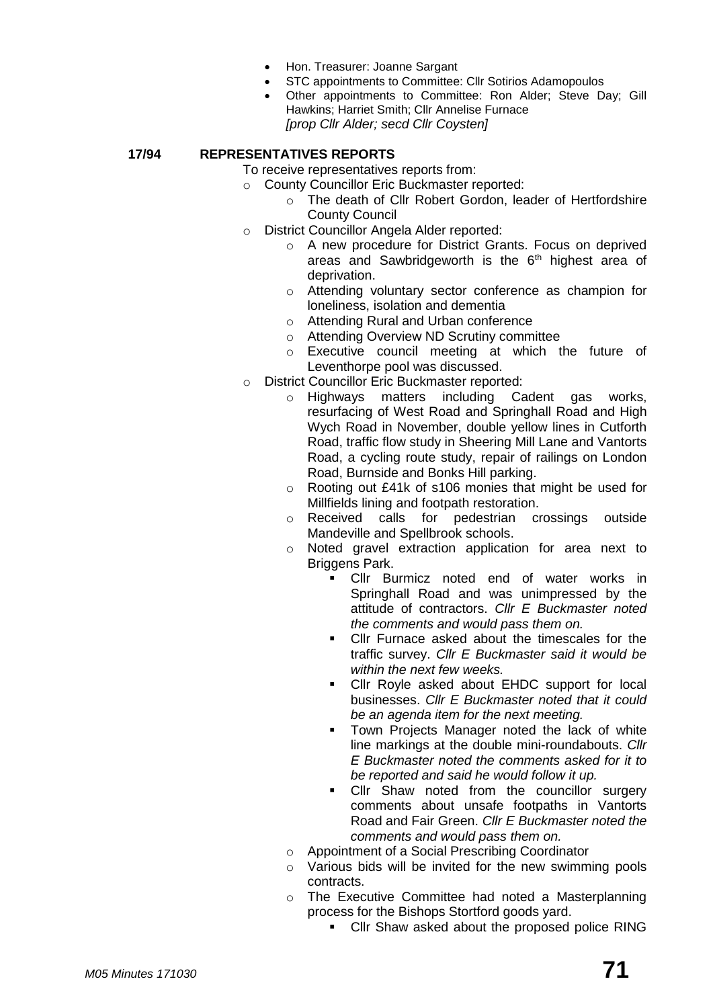- Hon. Treasurer: Joanne Sargant
- STC appointments to Committee: Cllr Sotirios Adamopoulos
- Other appointments to Committee: Ron Alder; Steve Day; Gill Hawkins; Harriet Smith; Cllr Annelise Furnace *[prop Cllr Alder; secd Cllr Coysten]*

**17/94 REPRESENTATIVES REPORTS**

To receive representatives reports from:

- o County Councillor Eric Buckmaster reported: o The death of Cllr Robert Gordon, leader of Hertfordshire County Council
- o District Councillor Angela Alder reported:
	- o A new procedure for District Grants. Focus on deprived areas and Sawbridgeworth is the  $6<sup>th</sup>$  highest area of deprivation.
	- o Attending voluntary sector conference as champion for loneliness, isolation and dementia
	- o Attending Rural and Urban conference
	- o Attending Overview ND Scrutiny committee
	- o Executive council meeting at which the future of Leventhorpe pool was discussed.
- o District Councillor Eric Buckmaster reported:
	- o Highways matters including Cadent gas works, resurfacing of West Road and Springhall Road and High Wych Road in November, double yellow lines in Cutforth Road, traffic flow study in Sheering Mill Lane and Vantorts Road, a cycling route study, repair of railings on London Road, Burnside and Bonks Hill parking.
	- o Rooting out £41k of s106 monies that might be used for Millfields lining and footpath restoration.
	- o Received calls for pedestrian crossings outside Mandeville and Spellbrook schools.
	- o Noted gravel extraction application for area next to Briggens Park.
		- Cllr Burmicz noted end of water works in Springhall Road and was unimpressed by the attitude of contractors. *Cllr E Buckmaster noted the comments and would pass them on.*
		- Cllr Furnace asked about the timescales for the traffic survey. *Cllr E Buckmaster said it would be within the next few weeks.*
		- Cllr Royle asked about EHDC support for local businesses. *Cllr E Buckmaster noted that it could be an agenda item for the next meeting.*
		- Town Projects Manager noted the lack of white line markings at the double mini-roundabouts. *Cllr E Buckmaster noted the comments asked for it to be reported and said he would follow it up.*
		- Cllr Shaw noted from the councillor surgery comments about unsafe footpaths in Vantorts Road and Fair Green. *Cllr E Buckmaster noted the comments and would pass them on.*
	- o Appointment of a Social Prescribing Coordinator
	- o Various bids will be invited for the new swimming pools contracts.
	- The Executive Committee had noted a Masterplanning process for the Bishops Stortford goods yard.
		- Cllr Shaw asked about the proposed police RING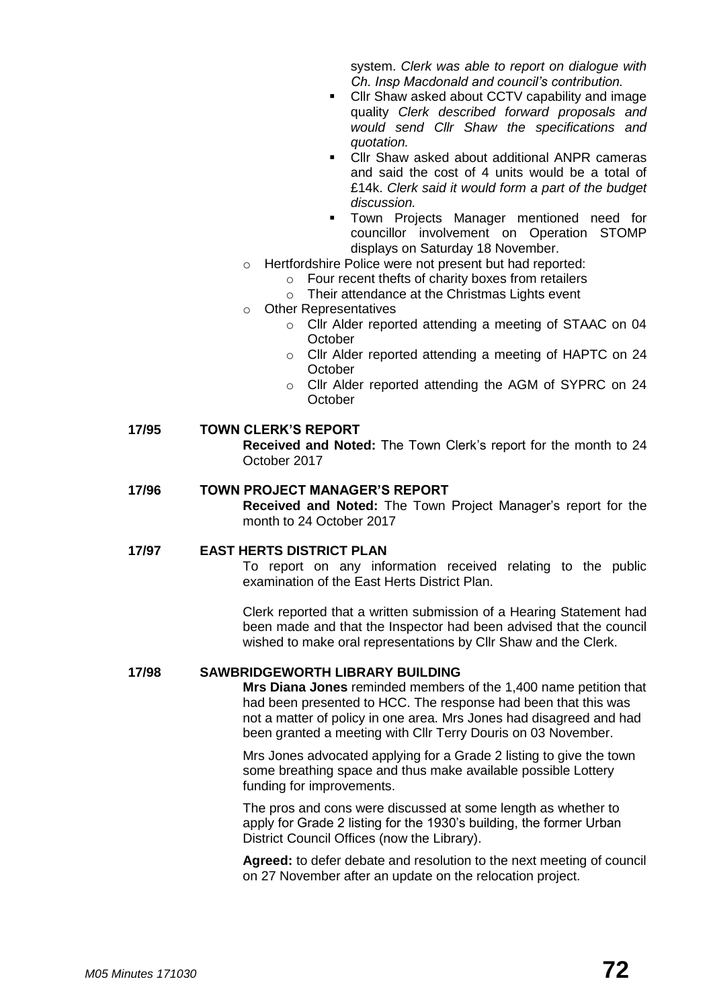system. *Clerk was able to report on dialogue with Ch. Insp Macdonald and council's contribution.*

- Cllr Shaw asked about CCTV capability and image quality *Clerk described forward proposals and would send Cllr Shaw the specifications and quotation.*
- Cllr Shaw asked about additional ANPR cameras and said the cost of 4 units would be a total of £14k. *Clerk said it would form a part of the budget discussion.*
- Town Projects Manager mentioned need for councillor involvement on Operation STOMP displays on Saturday 18 November.
- o Hertfordshire Police were not present but had reported:
	- $\circ$  Four recent thefts of charity boxes from retailers
	- o Their attendance at the Christmas Lights event
- o Other Representatives
	- o Cllr Alder reported attending a meeting of STAAC on 04 **October**
	- o Cllr Alder reported attending a meeting of HAPTC on 24 **October**
	- o Cllr Alder reported attending the AGM of SYPRC on 24 **October**

### **17/95 TOWN CLERK'S REPORT**

**Received and Noted:** The Town Clerk's report for the month to 24 October 2017

### **17/96 TOWN PROJECT MANAGER'S REPORT**

**Received and Noted:** The Town Project Manager's report for the month to 24 October 2017

### **17/97 EAST HERTS DISTRICT PLAN**

To report on any information received relating to the public examination of the East Herts District Plan.

Clerk reported that a written submission of a Hearing Statement had been made and that the Inspector had been advised that the council wished to make oral representations by Cllr Shaw and the Clerk.

### **17/98 SAWBRIDGEWORTH LIBRARY BUILDING**

**Mrs Diana Jones** reminded members of the 1,400 name petition that had been presented to HCC. The response had been that this was not a matter of policy in one area. Mrs Jones had disagreed and had been granted a meeting with Cllr Terry Douris on 03 November.

Mrs Jones advocated applying for a Grade 2 listing to give the town some breathing space and thus make available possible Lottery funding for improvements.

The pros and cons were discussed at some length as whether to apply for Grade 2 listing for the 1930's building, the former Urban District Council Offices (now the Library).

**Agreed:** to defer debate and resolution to the next meeting of council on 27 November after an update on the relocation project.